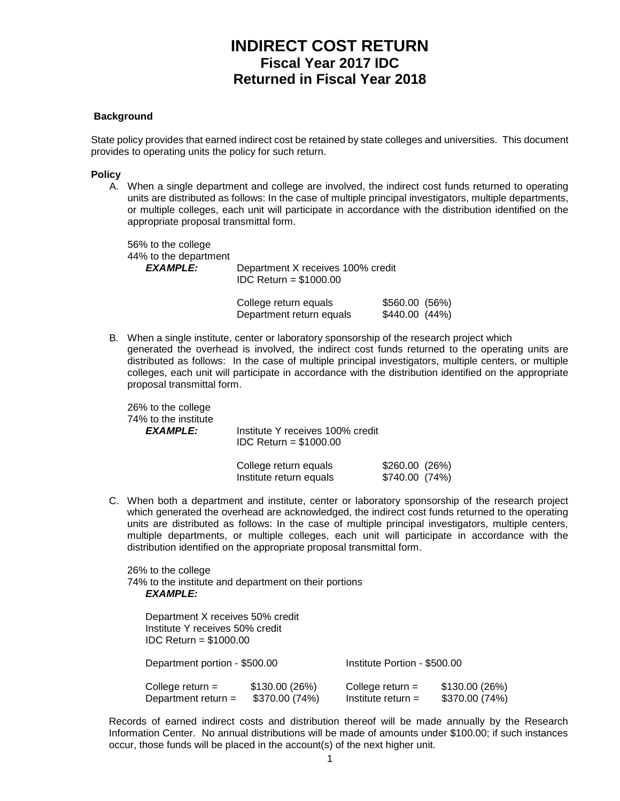# **INDIRECT COST RETURN Fiscal Year 2017 IDC Returned in Fiscal Year 2018**

### **Background**

State policy provides that earned indirect cost be retained by state colleges and universities. This document provides to operating units the policy for such return.

#### **Policy**

A. When a single department and college are involved, the indirect cost funds returned to operating units are distributed as follows: In the case of multiple principal investigators, multiple departments, or multiple colleges, each unit will participate in accordance with the distribution identified on the appropriate proposal transmittal form.

56% to the college 44% to the department<br>EXAMPLE: Department X receives 100% credit IDC Return = \$1000.00

| College return equals    | \$560.00 (56%) |
|--------------------------|----------------|
| Department return equals | \$440.00(44%)  |

B. When a single institute, center or laboratory sponsorship of the research project which generated the overhead is involved, the indirect cost funds returned to the operating units are distributed as follows: In the case of multiple principal investigators, multiple centers, or multiple colleges, each unit will participate in accordance with the distribution identified on the appropriate proposal transmittal form.

26% to the college 74% to the institute

*EXAMPLE:* Institute Y receives 100% credit IDC Return = \$1000.00

| College return equals   | \$260.00(26%) |  |
|-------------------------|---------------|--|
| Institute return equals | \$740.00(74%) |  |

C. When both a department and institute, center or laboratory sponsorship of the research project which generated the overhead are acknowledged, the indirect cost funds returned to the operating units are distributed as follows: In the case of multiple principal investigators, multiple centers, multiple departments, or multiple colleges, each unit will participate in accordance with the distribution identified on the appropriate proposal transmittal form.

26% to the college 74% to the institute and department on their portions *EXAMPLE:*

| Department X receives 50% credit<br>Institute Y receives 50% credit<br>$IDC$ Return = \$1000.00 |                                 |                                            |                                  |  |  |
|-------------------------------------------------------------------------------------------------|---------------------------------|--------------------------------------------|----------------------------------|--|--|
| Department portion - \$500.00                                                                   |                                 |                                            | Institute Portion - \$500.00     |  |  |
| College return $=$<br>Department return $=$                                                     | \$130.00(26%)<br>\$370.00 (74%) | College return $=$<br>Institute return $=$ | \$130.00 (26%)<br>\$370.00 (74%) |  |  |

Records of earned indirect costs and distribution thereof will be made annually by the Research Information Center. No annual distributions will be made of amounts under \$100.00; if such instances occur, those funds will be placed in the account(s) of the next higher unit.